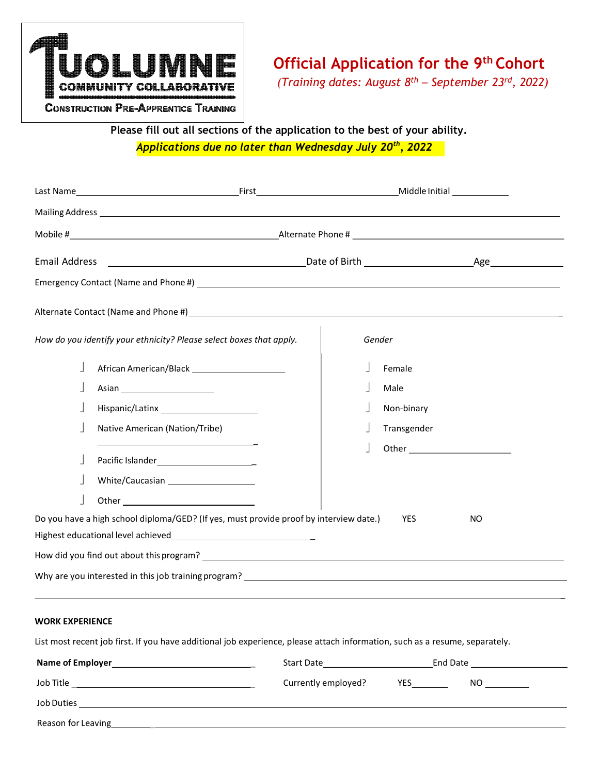

# Official Application for the 9<sup>th</sup> Cohort

(Training dates: August  $8^{th}$  – September 23rd, 2022)

**CONSTRUCTION PRE-APPRENTICE TRAINING** 

 Please fill out all sections of the application to the best of your ability. Applications due no later than Wednesday July 20<sup>th</sup>, 2022

| <b>Email Address</b> |                                                                                                                  |             |     |
|----------------------|------------------------------------------------------------------------------------------------------------------|-------------|-----|
|                      |                                                                                                                  |             |     |
|                      | Alternate Contact (Name and Phone #) expansion of the contract of the contract of the contact (Name and Phone #) |             |     |
|                      | How do you identify your ethnicity? Please select boxes that apply.                                              | Gender      |     |
|                      |                                                                                                                  | Female      |     |
|                      |                                                                                                                  | Male        |     |
|                      |                                                                                                                  | Non-binary  |     |
|                      | Native American (Nation/Tribe)                                                                                   | Transgender |     |
|                      | White/Caucasian _____________________                                                                            |             |     |
|                      | Do you have a high school diploma/GED? (If yes, must provide proof by interview date.)                           | <b>YES</b>  | NO. |
|                      |                                                                                                                  |             |     |
|                      |                                                                                                                  |             |     |
|                      |                                                                                                                  |             |     |

#### WORK EXPERIENCE

List most recent job first. If you have additional job experience, please attach information, such as a resume, separately.

| <b>Name of Employer</b> | Start Date          |            | End Date |
|-------------------------|---------------------|------------|----------|
| Job Title               | Currently employed? | <b>YES</b> | NO.      |
| <b>Job Duties</b>       |                     |            |          |
| Reason for Leaving      |                     |            |          |